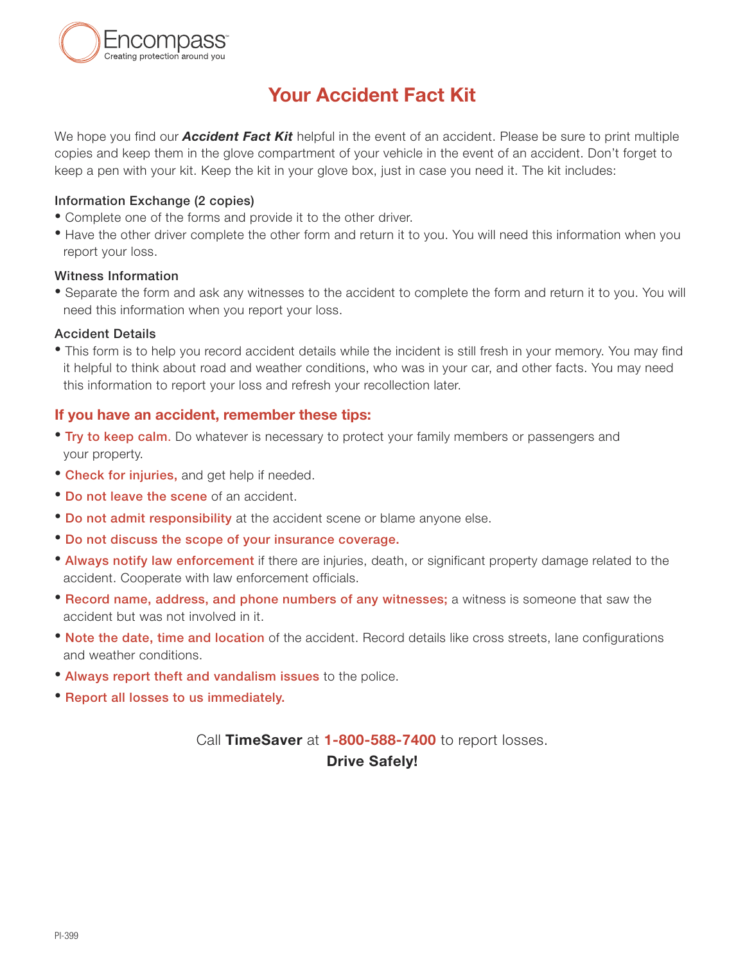

# **Your Accident Fact Kit**

We hope you find our *Accident Fact Kit* helpful in the event of an accident. Please be sure to print multiple copies and keep them in the glove compartment of your vehicle in the event of an accident. Don't forget to keep a pen with your kit. Keep the kit in your glove box, just in case you need it. The kit includes:

#### **Information Exchange (2 copies)**

- **•** Complete one of the forms and provide it to the other driver.
- **•** Have the other driver complete the other form and return it to you. You will need this information when you report your loss.

#### **Witness Information**

**•** Separate the form and ask any witnesses to the accident to complete the form and return it to you. You will need this information when you report your loss.

#### **Accident Details**

**•** This form is to help you record accident details while the incident is still fresh in your memory. You may find it helpful to think about road and weather conditions, who was in your car, and other facts. You may need this information to report your loss and refresh your recollection later.

#### **If you have an accident, remember these tips:**

- **• Try to keep calm**. Do whatever is necessary to protect your family members or passengers and your property.
- **• Check for injuries,** and get help if needed.
- **• Do not leave the scene** of an accident.
- **• Do not admit responsibility** at the accident scene or blame anyone else.
- **• Do not discuss the scope of your insurance coverage.**
- **• Always notify law enforcement** if there are injuries, death, or significant property damage related to the accident. Cooperate with law enforcement officials.
- **• Record name, address, and phone numbers of any witnesses;** a witness is someone that saw the accident but was not involved in it.
- **• Note the date, time and location** of the accident. Record details like cross streets, lane configurations and weather conditions.
- **• Always report theft and vandalism issues** to the police.
- **• Report all losses to us immediately.**

## Call **TimeSaver** at **1-800-588-7400** to report losses. **Drive Safely!**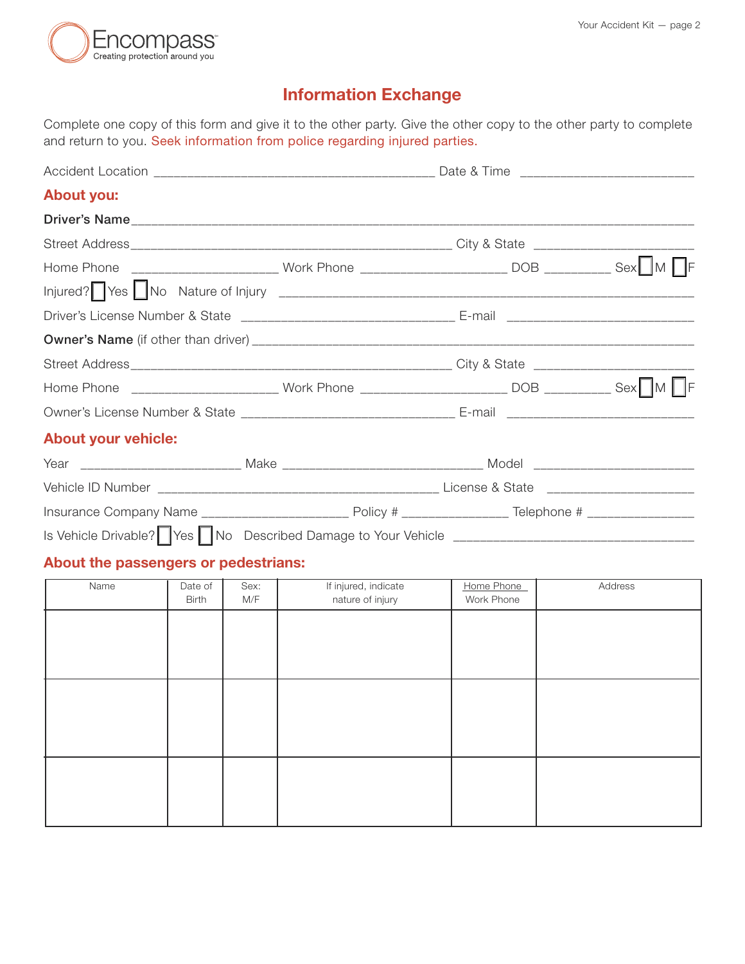

# **Information Exchange**

Complete one copy of this form and give it to the other party. Give the other copy to the other party to complete and return to you. Seek information from police regarding injured parties.

| <b>About you:</b>          |  |  |
|----------------------------|--|--|
|                            |  |  |
|                            |  |  |
|                            |  |  |
|                            |  |  |
|                            |  |  |
|                            |  |  |
|                            |  |  |
|                            |  |  |
|                            |  |  |
| <b>About your vehicle:</b> |  |  |
|                            |  |  |
|                            |  |  |
|                            |  |  |
|                            |  |  |

### **About the passengers or pedestrians:**

| Name | Date of<br><b>Birth</b> | Sex:<br>M/F | If injured, indicate<br>nature of injury | Home Phone<br>Work Phone | Address |
|------|-------------------------|-------------|------------------------------------------|--------------------------|---------|
|      |                         |             |                                          |                          |         |
|      |                         |             |                                          |                          |         |
|      |                         |             |                                          |                          |         |
|      |                         |             |                                          |                          |         |
|      |                         |             |                                          |                          |         |
|      |                         |             |                                          |                          |         |
|      |                         |             |                                          |                          |         |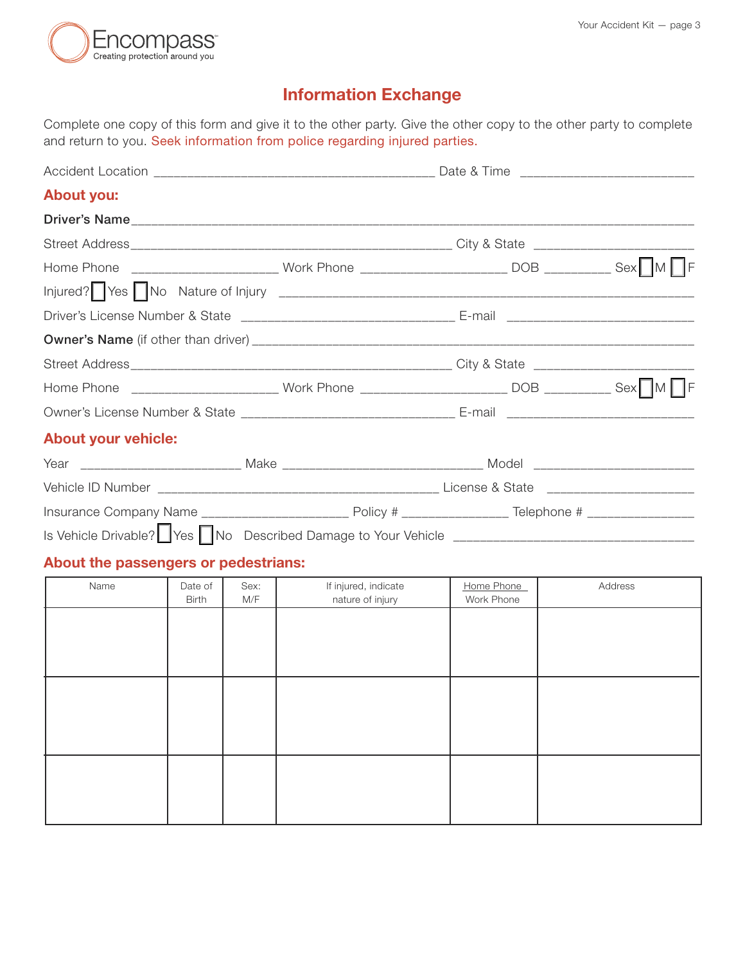

# **Information Exchange**

Complete one copy of this form and give it to the other party. Give the other copy to the other party to complete and return to you. Seek information from police regarding injured parties.

| <b>About you:</b>          |  |  |
|----------------------------|--|--|
|                            |  |  |
|                            |  |  |
|                            |  |  |
|                            |  |  |
|                            |  |  |
|                            |  |  |
|                            |  |  |
|                            |  |  |
|                            |  |  |
| <b>About your vehicle:</b> |  |  |
|                            |  |  |
|                            |  |  |
|                            |  |  |
|                            |  |  |

### **About the passengers or pedestrians:**

| Name | Date of<br><b>Birth</b> | Sex:<br>M/F | If injured, indicate<br>nature of injury | Home Phone<br>Work Phone | Address |
|------|-------------------------|-------------|------------------------------------------|--------------------------|---------|
|      |                         |             |                                          |                          |         |
|      |                         |             |                                          |                          |         |
|      |                         |             |                                          |                          |         |
|      |                         |             |                                          |                          |         |
|      |                         |             |                                          |                          |         |
|      |                         |             |                                          |                          |         |
|      |                         |             |                                          |                          |         |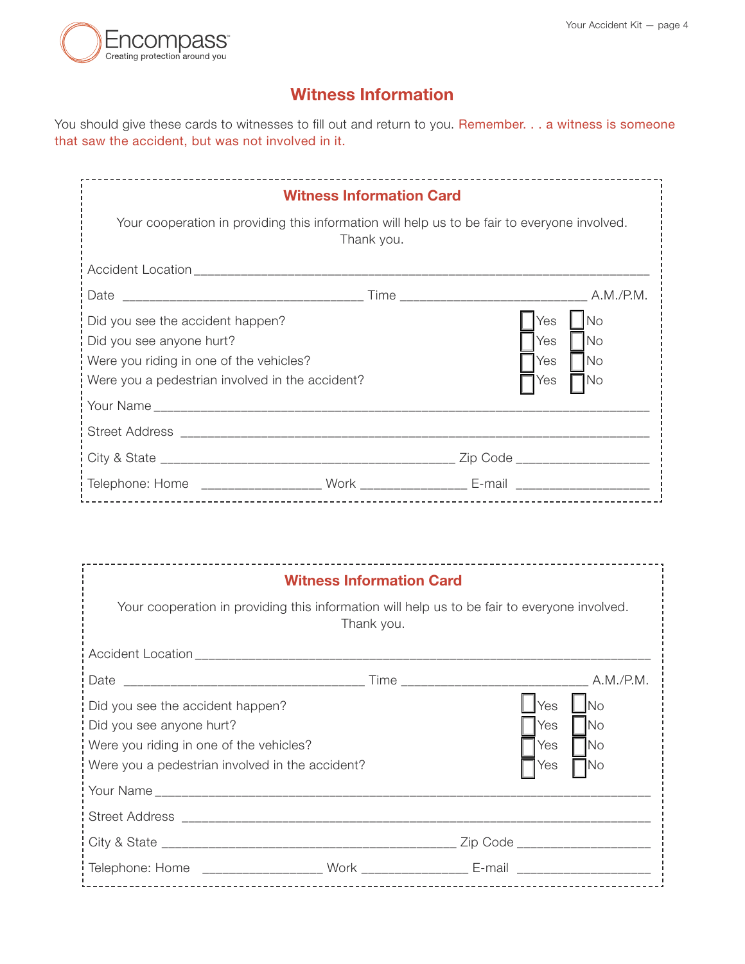

## **Witness Information**

You should give these cards to witnesses to fill out and return to you. Remember. . . a witness is someone that saw the accident, but was not involved in it.

| <b>Witness Information Card</b><br>Your cooperation in providing this information will help us to be fair to everyone involved. |            |                                  |           |  |
|---------------------------------------------------------------------------------------------------------------------------------|------------|----------------------------------|-----------|--|
|                                                                                                                                 | Thank you. |                                  |           |  |
|                                                                                                                                 |            |                                  |           |  |
|                                                                                                                                 |            |                                  |           |  |
| Did you see the accident happen?                                                                                                |            | Yes                              | <b>No</b> |  |
| Did you see anyone hurt?                                                                                                        |            | Yes                              | <b>No</b> |  |
| Were you riding in one of the vehicles?                                                                                         |            | Yes                              | <b>No</b> |  |
| Were you a pedestrian involved in the accident?                                                                                 |            | Yes                              | 1No       |  |
|                                                                                                                                 |            |                                  |           |  |
|                                                                                                                                 |            |                                  |           |  |
|                                                                                                                                 |            | Zip Code _______________________ |           |  |
| Telephone: Home _____________________ Work __________________ E-mail ___________                                                |            |                                  |           |  |

| <b>Witness Information Card</b>                                                                                                                            |  |                                                                          |  |  |  |
|------------------------------------------------------------------------------------------------------------------------------------------------------------|--|--------------------------------------------------------------------------|--|--|--|
| Your cooperation in providing this information will help us to be fair to everyone involved.<br>Thank you.                                                 |  |                                                                          |  |  |  |
|                                                                                                                                                            |  |                                                                          |  |  |  |
|                                                                                                                                                            |  |                                                                          |  |  |  |
| Did you see the accident happen?<br>Did you see anyone hurt?<br>Were you riding in one of the vehicles?<br>Were you a pedestrian involved in the accident? |  | Yes<br><b>INo</b><br>Yes<br><b>No</b><br><b>INo</b><br>Yes<br>1No<br>Yes |  |  |  |
|                                                                                                                                                            |  | Zip Code ______________________                                          |  |  |  |
| :Telephone: Home ____________________Work ___________________E-mail ____________                                                                           |  |                                                                          |  |  |  |